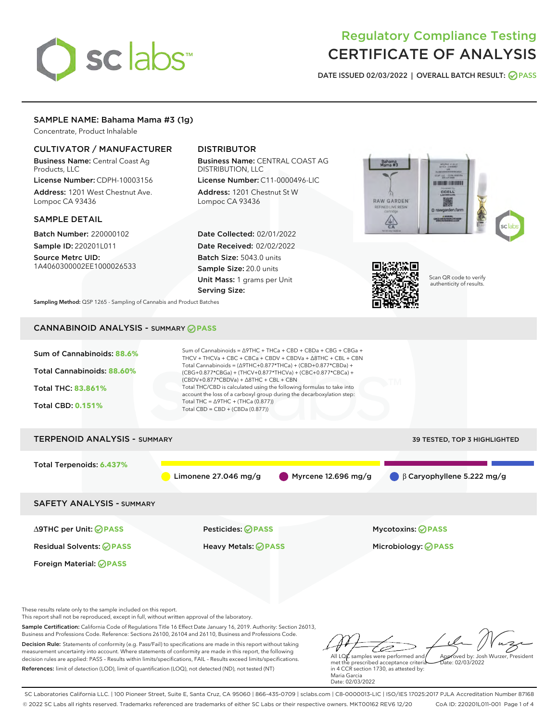# sclabs<sup>\*</sup>

# Regulatory Compliance Testing CERTIFICATE OF ANALYSIS

DATE ISSUED 02/03/2022 | OVERALL BATCH RESULT: @ PASS

# SAMPLE NAME: Bahama Mama #3 (1g)

Concentrate, Product Inhalable

# CULTIVATOR / MANUFACTURER

Business Name: Central Coast Ag Products, LLC

License Number: CDPH-10003156 Address: 1201 West Chestnut Ave. Lompoc CA 93436

#### SAMPLE DETAIL

Batch Number: 220000102 Sample ID: 220201L011

Source Metrc UID: 1A4060300002EE1000026533

# DISTRIBUTOR

Business Name: CENTRAL COAST AG DISTRIBUTION, LLC

License Number: C11-0000496-LIC Address: 1201 Chestnut St W Lompoc CA 93436

Date Collected: 02/01/2022 Date Received: 02/02/2022 Batch Size: 5043.0 units Sample Size: 20.0 units Unit Mass: 1 grams per Unit Serving Size:





Scan QR code to verify authenticity of results.

Sampling Method: QSP 1265 - Sampling of Cannabis and Product Batches

# CANNABINOID ANALYSIS - SUMMARY **PASS**



This report shall not be reproduced, except in full, without written approval of the laboratory.

Sample Certification: California Code of Regulations Title 16 Effect Date January 16, 2019. Authority: Section 26013, Business and Professions Code. Reference: Sections 26100, 26104 and 26110, Business and Professions Code.

Decision Rule: Statements of conformity (e.g. Pass/Fail) to specifications are made in this report without taking measurement uncertainty into account. Where statements of conformity are made in this report, the following decision rules are applied: PASS – Results within limits/specifications, FAIL – Results exceed limits/specifications. References: limit of detection (LOD), limit of quantification (LOQ), not detected (ND), not tested (NT)

D All LQ $\ell$  samples were performed and Approved by: Josh Wurzer, President  $ate: 02/03/2022$ 

met the prescribed acceptance criteria in 4 CCR section 1730, as attested by: Maria Garcia Date: 02/03/2022

SC Laboratories California LLC. | 100 Pioneer Street, Suite E, Santa Cruz, CA 95060 | 866-435-0709 | sclabs.com | C8-0000013-LIC | ISO/IES 17025:2017 PJLA Accreditation Number 87168 © 2022 SC Labs all rights reserved. Trademarks referenced are trademarks of either SC Labs or their respective owners. MKT00162 REV6 12/20 CoA ID: 220201L011-001 Page 1 of 4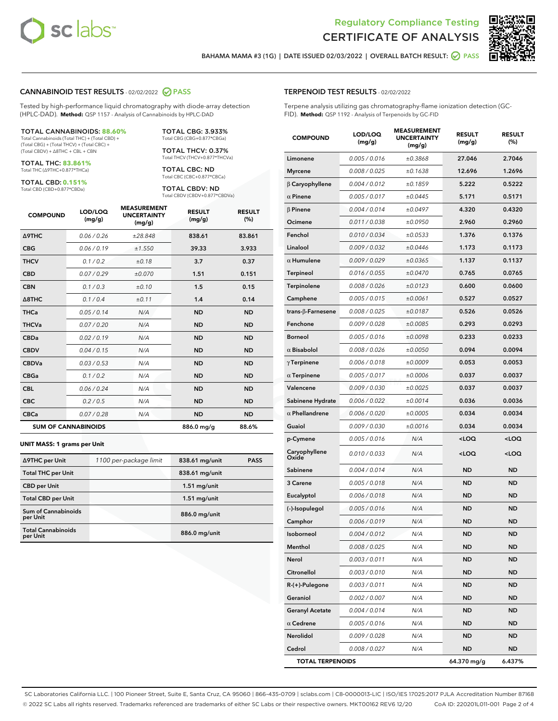



BAHAMA MAMA #3 (1G) | DATE ISSUED 02/03/2022 | OVERALL BATCH RESULT: 2 PASS

# CANNABINOID TEST RESULTS - 02/02/2022 PASS

Tested by high-performance liquid chromatography with diode-array detection (HPLC-DAD). **Method:** QSP 1157 - Analysis of Cannabinoids by HPLC-DAD

#### TOTAL CANNABINOIDS: **88.60%**

Total Cannabinoids (Total THC) + (Total CBD) + (Total CBG) + (Total THCV) + (Total CBC) + (Total CBDV) + ∆8THC + CBL + CBN

TOTAL THC: **83.861%** Total THC (∆9THC+0.877\*THCa)

TOTAL CBD: **0.151%**

Total CBD (CBD+0.877\*CBDa)

TOTAL CBG: 3.933% Total CBG (CBG+0.877\*CBGa)

TOTAL THCV: 0.37% Total THCV (THCV+0.877\*THCVa)

TOTAL CBC: ND Total CBC (CBC+0.877\*CBCa)

TOTAL CBDV: ND Total CBDV (CBDV+0.877\*CBDVa)

| <b>COMPOUND</b>  | LOD/LOQ<br>(mg/g)          | <b>MEASUREMENT</b><br><b>UNCERTAINTY</b><br>(mg/g) | <b>RESULT</b><br>(mg/g) | <b>RESULT</b><br>(%) |
|------------------|----------------------------|----------------------------------------------------|-------------------------|----------------------|
| <b>A9THC</b>     | 0.06 / 0.26                | ±28.848                                            | 838.61                  | 83.861               |
| <b>CBG</b>       | 0.06/0.19                  | ±1.550                                             | 39.33                   | 3.933                |
| <b>THCV</b>      | 0.1/0.2                    | ±0.18                                              | 3.7                     | 0.37                 |
| <b>CBD</b>       | 0.07/0.29                  | ±0.070                                             | 1.51                    | 0.151                |
| <b>CBN</b>       | 0.1/0.3                    | ±0.10                                              | 1.5                     | 0.15                 |
| $\triangle$ 8THC | 0.1/0.4                    | ±0.11                                              | 1.4                     | 0.14                 |
| <b>THCa</b>      | 0.05/0.14                  | N/A                                                | <b>ND</b>               | <b>ND</b>            |
| <b>THCVa</b>     | 0.07/0.20                  | N/A                                                | <b>ND</b>               | <b>ND</b>            |
| <b>CBDa</b>      | 0.02/0.19                  | N/A                                                | <b>ND</b>               | <b>ND</b>            |
| <b>CBDV</b>      | 0.04 / 0.15                | N/A                                                | <b>ND</b>               | <b>ND</b>            |
| <b>CBDVa</b>     | 0.03/0.53                  | N/A                                                | <b>ND</b>               | <b>ND</b>            |
| <b>CBGa</b>      | 0.1 / 0.2                  | N/A                                                | <b>ND</b>               | <b>ND</b>            |
| <b>CBL</b>       | 0.06 / 0.24                | N/A                                                | <b>ND</b>               | <b>ND</b>            |
| <b>CBC</b>       | 0.2 / 0.5                  | N/A                                                | <b>ND</b>               | <b>ND</b>            |
| <b>CBCa</b>      | 0.07 / 0.28                | N/A                                                | <b>ND</b>               | <b>ND</b>            |
|                  | <b>SUM OF CANNABINOIDS</b> |                                                    | 886.0 mg/g              | 88.6%                |

#### **UNIT MASS: 1 grams per Unit**

| ∆9THC per Unit                         | 1100 per-package limit | 838.61 mg/unit | <b>PASS</b> |
|----------------------------------------|------------------------|----------------|-------------|
| <b>Total THC per Unit</b>              |                        | 838.61 mg/unit |             |
| <b>CBD per Unit</b>                    |                        | $1.51$ mg/unit |             |
| <b>Total CBD per Unit</b>              |                        | $1.51$ mg/unit |             |
| <b>Sum of Cannabinoids</b><br>per Unit |                        | 886.0 mg/unit  |             |
| <b>Total Cannabinoids</b><br>per Unit  |                        | 886.0 mg/unit  |             |

Terpene analysis utilizing gas chromatography-flame ionization detection (GC-FID). **Method:** QSP 1192 - Analysis of Terpenoids by GC-FID

| <b>COMPOUND</b>           | LOD/LOQ<br>(mg/g) | <b>MEASUREMENT</b><br><b>UNCERTAINTY</b><br>(mg/g) | <b>RESULT</b><br>(mg/g)                         | <b>RESULT</b><br>(%) |
|---------------------------|-------------------|----------------------------------------------------|-------------------------------------------------|----------------------|
| Limonene                  | 0.005 / 0.016     | ±0.3868                                            | 27.046                                          | 2.7046               |
| <b>Myrcene</b>            | 0.008 / 0.025     | ±0.1638                                            | 12.696                                          | 1.2696               |
| $\beta$ Caryophyllene     | 0.004 / 0.012     | ±0.1859                                            | 5.222                                           | 0.5222               |
| $\alpha$ Pinene           | 0.005 / 0.017     | ±0.0445                                            | 5.171                                           | 0.5171               |
| $\beta$ Pinene            | 0.004 / 0.014     | ±0.0497                                            | 4.320                                           | 0.4320               |
| Ocimene                   | 0.011 / 0.038     | ±0.0950                                            | 2.960                                           | 0.2960               |
| Fenchol                   | 0.010 / 0.034     | ±0.0533                                            | 1.376                                           | 0.1376               |
| Linalool                  | 0.009 / 0.032     | ±0.0446                                            | 1.173                                           | 0.1173               |
| $\alpha$ Humulene         | 0.009/0.029       | ±0.0365                                            | 1.137                                           | 0.1137               |
| Terpineol                 | 0.016 / 0.055     | ±0.0470                                            | 0.765                                           | 0.0765               |
| <b>Terpinolene</b>        | 0.008 / 0.026     | ±0.0123                                            | 0.600                                           | 0.0600               |
| Camphene                  | 0.005 / 0.015     | ±0.0061                                            | 0.527                                           | 0.0527               |
| trans- $\beta$ -Farnesene | 0.008 / 0.025     | ±0.0187                                            | 0.526                                           | 0.0526               |
| Fenchone                  | 0.009 / 0.028     | ±0.0085                                            | 0.293                                           | 0.0293               |
| <b>Borneol</b>            | 0.005 / 0.016     | ±0.0098                                            | 0.233                                           | 0.0233               |
| $\alpha$ Bisabolol        | 0.008 / 0.026     | ±0.0050                                            | 0.094                                           | 0.0094               |
| $\gamma$ Terpinene        | 0.006 / 0.018     | ±0.0009                                            | 0.053                                           | 0.0053               |
| $\alpha$ Terpinene        | 0.005 / 0.017     | ±0.0006                                            | 0.037                                           | 0.0037               |
| Valencene                 | 0.009 / 0.030     | ±0.0025                                            | 0.037                                           | 0.0037               |
| Sabinene Hydrate          | 0.006 / 0.022     | ±0.0014                                            | 0.036                                           | 0.0036               |
| $\alpha$ Phellandrene     | 0.006 / 0.020     | ±0.0005                                            | 0.034                                           | 0.0034               |
| Guaiol                    | 0.009 / 0.030     | ±0.0016                                            | 0.034                                           | 0.0034               |
| p-Cymene                  | 0.005 / 0.016     | N/A                                                | <loq< th=""><th><loq< th=""></loq<></th></loq<> | <loq< th=""></loq<>  |
| Caryophyllene<br>Oxide    | 0.010 / 0.033     | N/A                                                | <loq< th=""><th><loq< th=""></loq<></th></loq<> | <loq< th=""></loq<>  |
| Sabinene                  | 0.004 / 0.014     | N/A                                                | ND                                              | ND                   |
| 3 Carene                  | 0.005 / 0.018     | N/A                                                | ND                                              | ND                   |
| Eucalyptol                | 0.006 / 0.018     | N/A                                                | <b>ND</b>                                       | <b>ND</b>            |
| (-)-Isopulegol            | 0.005 / 0.016     | N/A                                                | ND                                              | ND                   |
| Camphor                   | 0.006 / 0.019     | N/A                                                | ND                                              | ND                   |
| Isoborneol                | 0.004 / 0.012     | N/A                                                | <b>ND</b>                                       | <b>ND</b>            |
| Menthol                   | 0.008 / 0.025     | N/A                                                | ND                                              | ND                   |
| Nerol                     | 0.003 / 0.011     | N/A                                                | ND                                              | ND                   |
| Citronellol               | 0.003 / 0.010     | N/A                                                | ND                                              | ND                   |
| R-(+)-Pulegone            | 0.003 / 0.011     | N/A                                                | ND                                              | ND                   |
| Geraniol                  | 0.002 / 0.007     | N/A                                                | ND                                              | ND                   |
| <b>Geranyl Acetate</b>    | 0.004 / 0.014     | N/A                                                | ND                                              | ND                   |
| $\alpha$ Cedrene          | 0.005 / 0.016     | N/A                                                | ND                                              | ND                   |
| Nerolidol                 | 0.009 / 0.028     | N/A                                                | ND                                              | ND                   |
| Cedrol                    | 0.008 / 0.027     | N/A                                                | ND                                              | ND                   |
| <b>TOTAL TERPENOIDS</b>   |                   |                                                    | 64.370 mg/g                                     | 6.437%               |

SC Laboratories California LLC. | 100 Pioneer Street, Suite E, Santa Cruz, CA 95060 | 866-435-0709 | sclabs.com | C8-0000013-LIC | ISO/IES 17025:2017 PJLA Accreditation Number 87168 © 2022 SC Labs all rights reserved. Trademarks referenced are trademarks of either SC Labs or their respective owners. MKT00162 REV6 12/20 CoA ID: 220201L011-001 Page 2 of 4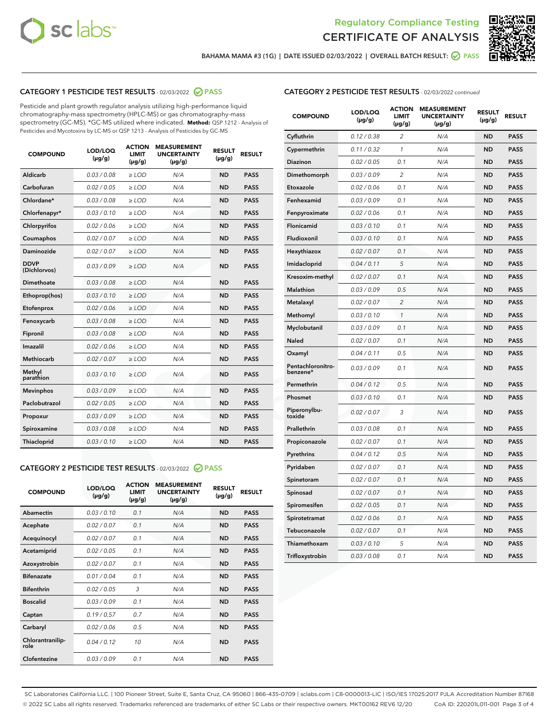



BAHAMA MAMA #3 (1G) | DATE ISSUED 02/03/2022 | OVERALL BATCH RESULT:  $\bigcirc$  PASS

# CATEGORY 1 PESTICIDE TEST RESULTS - 02/03/2022 2 PASS

Pesticide and plant growth regulator analysis utilizing high-performance liquid chromatography-mass spectrometry (HPLC-MS) or gas chromatography-mass spectrometry (GC-MS). \*GC-MS utilized where indicated. **Method:** QSP 1212 - Analysis of Pesticides and Mycotoxins by LC-MS or QSP 1213 - Analysis of Pesticides by GC-MS

| <b>COMPOUND</b>             | LOD/LOQ<br>$(\mu g/g)$ | <b>ACTION</b><br><b>LIMIT</b><br>$(\mu q/q)$ | <b>MEASUREMENT</b><br><b>UNCERTAINTY</b><br>$(\mu g/g)$ | <b>RESULT</b><br>$(\mu g/g)$ | <b>RESULT</b> |
|-----------------------------|------------------------|----------------------------------------------|---------------------------------------------------------|------------------------------|---------------|
| Aldicarb                    | 0.03 / 0.08            | $\ge$ LOD                                    | N/A                                                     | <b>ND</b>                    | <b>PASS</b>   |
| Carbofuran                  | 0.02 / 0.05            | $\ge$ LOD                                    | N/A                                                     | <b>ND</b>                    | <b>PASS</b>   |
| Chlordane*                  | 0.03 / 0.08            | $\ge$ LOD                                    | N/A                                                     | <b>ND</b>                    | <b>PASS</b>   |
| Chlorfenapyr*               | 0.03/0.10              | $\ge$ LOD                                    | N/A                                                     | <b>ND</b>                    | <b>PASS</b>   |
| Chlorpyrifos                | 0.02 / 0.06            | $\ge$ LOD                                    | N/A                                                     | <b>ND</b>                    | <b>PASS</b>   |
| Coumaphos                   | 0.02 / 0.07            | $\ge$ LOD                                    | N/A                                                     | <b>ND</b>                    | <b>PASS</b>   |
| Daminozide                  | 0.02 / 0.07            | $\ge$ LOD                                    | N/A                                                     | <b>ND</b>                    | <b>PASS</b>   |
| <b>DDVP</b><br>(Dichlorvos) | 0.03/0.09              | $>$ LOD                                      | N/A                                                     | <b>ND</b>                    | <b>PASS</b>   |
| Dimethoate                  | 0.03 / 0.08            | $\ge$ LOD                                    | N/A                                                     | <b>ND</b>                    | <b>PASS</b>   |
| Ethoprop(hos)               | 0.03/0.10              | $\ge$ LOD                                    | N/A                                                     | <b>ND</b>                    | <b>PASS</b>   |
| Etofenprox                  | 0.02/0.06              | $>$ LOD                                      | N/A                                                     | <b>ND</b>                    | <b>PASS</b>   |
| Fenoxycarb                  | 0.03 / 0.08            | $\ge$ LOD                                    | N/A                                                     | <b>ND</b>                    | <b>PASS</b>   |
| Fipronil                    | 0.03/0.08              | $>$ LOD                                      | N/A                                                     | <b>ND</b>                    | <b>PASS</b>   |
| Imazalil                    | 0.02 / 0.06            | $\ge$ LOD                                    | N/A                                                     | <b>ND</b>                    | <b>PASS</b>   |
| Methiocarb                  | 0.02 / 0.07            | $\ge$ LOD                                    | N/A                                                     | <b>ND</b>                    | <b>PASS</b>   |
| Methyl<br>parathion         | 0.03/0.10              | $>$ LOD                                      | N/A                                                     | <b>ND</b>                    | <b>PASS</b>   |
| <b>Mevinphos</b>            | 0.03/0.09              | $>$ LOD                                      | N/A                                                     | <b>ND</b>                    | <b>PASS</b>   |
| Paclobutrazol               | 0.02 / 0.05            | $\ge$ LOD                                    | N/A                                                     | <b>ND</b>                    | <b>PASS</b>   |
| Propoxur                    | 0.03 / 0.09            | $\ge$ LOD                                    | N/A                                                     | <b>ND</b>                    | <b>PASS</b>   |
| Spiroxamine                 | 0.03 / 0.08            | $\ge$ LOD                                    | N/A                                                     | <b>ND</b>                    | <b>PASS</b>   |
| Thiacloprid                 | 0.03/0.10              | $\ge$ LOD                                    | N/A                                                     | <b>ND</b>                    | <b>PASS</b>   |

#### CATEGORY 2 PESTICIDE TEST RESULTS - 02/03/2022 PASS

| <b>COMPOUND</b>          | LOD/LOQ<br>$(\mu g/g)$ | <b>ACTION</b><br><b>LIMIT</b><br>$(\mu g/g)$ | <b>MEASUREMENT</b><br><b>UNCERTAINTY</b><br>$(\mu g/g)$ | <b>RESULT</b><br>$(\mu g/g)$ | <b>RESULT</b> |
|--------------------------|------------------------|----------------------------------------------|---------------------------------------------------------|------------------------------|---------------|
| Abamectin                | 0.03/0.10              | 0.1                                          | N/A                                                     | <b>ND</b>                    | <b>PASS</b>   |
| Acephate                 | 0.02/0.07              | 0.1                                          | N/A                                                     | <b>ND</b>                    | <b>PASS</b>   |
| Acequinocyl              | 0.02/0.07              | 0.1                                          | N/A                                                     | <b>ND</b>                    | <b>PASS</b>   |
| Acetamiprid              | 0.02/0.05              | 0.1                                          | N/A                                                     | <b>ND</b>                    | <b>PASS</b>   |
| Azoxystrobin             | 0.02/0.07              | 0.1                                          | N/A                                                     | <b>ND</b>                    | <b>PASS</b>   |
| <b>Bifenazate</b>        | 0.01/0.04              | 0.1                                          | N/A                                                     | <b>ND</b>                    | <b>PASS</b>   |
| <b>Bifenthrin</b>        | 0.02 / 0.05            | 3                                            | N/A                                                     | <b>ND</b>                    | <b>PASS</b>   |
| <b>Boscalid</b>          | 0.03/0.09              | 0.1                                          | N/A                                                     | <b>ND</b>                    | <b>PASS</b>   |
| Captan                   | 0.19/0.57              | 0.7                                          | N/A                                                     | <b>ND</b>                    | <b>PASS</b>   |
| Carbaryl                 | 0.02/0.06              | 0.5                                          | N/A                                                     | <b>ND</b>                    | <b>PASS</b>   |
| Chlorantranilip-<br>role | 0.04/0.12              | 10                                           | N/A                                                     | <b>ND</b>                    | <b>PASS</b>   |
| Clofentezine             | 0.03/0.09              | 0.1                                          | N/A                                                     | <b>ND</b>                    | <b>PASS</b>   |

## CATEGORY 2 PESTICIDE TEST RESULTS - 02/03/2022 continued

| <b>COMPOUND</b>               | LOD/LOQ<br>(µg/g) | <b>ACTION</b><br><b>LIMIT</b><br>$(\mu g/g)$ | <b>MEASUREMENT</b><br><b>UNCERTAINTY</b><br>$(\mu g/g)$ | <b>RESULT</b><br>(µg/g) | <b>RESULT</b> |
|-------------------------------|-------------------|----------------------------------------------|---------------------------------------------------------|-------------------------|---------------|
| Cyfluthrin                    | 0.12 / 0.38       | $\overline{c}$                               | N/A                                                     | ND                      | <b>PASS</b>   |
| Cypermethrin                  | 0.11 / 0.32       | $\mathcal{I}$                                | N/A                                                     | ND                      | <b>PASS</b>   |
| <b>Diazinon</b>               | 0.02 / 0.05       | 0.1                                          | N/A                                                     | <b>ND</b>               | <b>PASS</b>   |
| Dimethomorph                  | 0.03 / 0.09       | 2                                            | N/A                                                     | ND                      | <b>PASS</b>   |
| Etoxazole                     | 0.02 / 0.06       | 0.1                                          | N/A                                                     | ND                      | <b>PASS</b>   |
| Fenhexamid                    | 0.03 / 0.09       | 0.1                                          | N/A                                                     | ND                      | <b>PASS</b>   |
| Fenpyroximate                 | 0.02 / 0.06       | 0.1                                          | N/A                                                     | <b>ND</b>               | <b>PASS</b>   |
| Flonicamid                    | 0.03 / 0.10       | 0.1                                          | N/A                                                     | ND                      | <b>PASS</b>   |
| Fludioxonil                   | 0.03 / 0.10       | 0.1                                          | N/A                                                     | ND                      | <b>PASS</b>   |
| Hexythiazox                   | 0.02 / 0.07       | 0.1                                          | N/A                                                     | ND                      | <b>PASS</b>   |
| Imidacloprid                  | 0.04 / 0.11       | 5                                            | N/A                                                     | ND                      | <b>PASS</b>   |
| Kresoxim-methyl               | 0.02 / 0.07       | 0.1                                          | N/A                                                     | ND                      | <b>PASS</b>   |
| Malathion                     | 0.03 / 0.09       | 0.5                                          | N/A                                                     | <b>ND</b>               | <b>PASS</b>   |
| Metalaxyl                     | 0.02 / 0.07       | $\overline{c}$                               | N/A                                                     | ND                      | <b>PASS</b>   |
| Methomyl                      | 0.03 / 0.10       | 1                                            | N/A                                                     | ND                      | <b>PASS</b>   |
| Myclobutanil                  | 0.03 / 0.09       | 0.1                                          | N/A                                                     | <b>ND</b>               | <b>PASS</b>   |
| Naled                         | 0.02 / 0.07       | 0.1                                          | N/A                                                     | ND                      | <b>PASS</b>   |
| Oxamyl                        | 0.04 / 0.11       | 0.5                                          | N/A                                                     | ND                      | <b>PASS</b>   |
| Pentachloronitro-<br>benzene* | 0.03 / 0.09       | 0.1                                          | N/A                                                     | ND                      | <b>PASS</b>   |
| Permethrin                    | 0.04 / 0.12       | 0.5                                          | N/A                                                     | ND                      | <b>PASS</b>   |
| Phosmet                       | 0.03 / 0.10       | 0.1                                          | N/A                                                     | ND                      | <b>PASS</b>   |
| Piperonylbu-<br>toxide        | 0.02 / 0.07       | 3                                            | N/A                                                     | ND                      | <b>PASS</b>   |
| Prallethrin                   | 0.03 / 0.08       | 0.1                                          | N/A                                                     | ND                      | <b>PASS</b>   |
| Propiconazole                 | 0.02 / 0.07       | 0.1                                          | N/A                                                     | ND                      | <b>PASS</b>   |
| Pyrethrins                    | 0.04 / 0.12       | 0.5                                          | N/A                                                     | ND                      | <b>PASS</b>   |
| Pyridaben                     | 0.02 / 0.07       | 0.1                                          | N/A                                                     | <b>ND</b>               | <b>PASS</b>   |
| Spinetoram                    | 0.02 / 0.07       | 0.1                                          | N/A                                                     | ND                      | <b>PASS</b>   |
| Spinosad                      | 0.02 / 0.07       | 0.1                                          | N/A                                                     | ND                      | <b>PASS</b>   |
| Spiromesifen                  | 0.02 / 0.05       | 0.1                                          | N/A                                                     | <b>ND</b>               | <b>PASS</b>   |
| Spirotetramat                 | 0.02 / 0.06       | 0.1                                          | N/A                                                     | ND                      | <b>PASS</b>   |
| Tebuconazole                  | 0.02 / 0.07       | 0.1                                          | N/A                                                     | ND                      | <b>PASS</b>   |
| Thiamethoxam                  | 0.03 / 0.10       | 5                                            | N/A                                                     | <b>ND</b>               | <b>PASS</b>   |
| Trifloxystrobin               | 0.03 / 0.08       | 0.1                                          | N/A                                                     | <b>ND</b>               | <b>PASS</b>   |

SC Laboratories California LLC. | 100 Pioneer Street, Suite E, Santa Cruz, CA 95060 | 866-435-0709 | sclabs.com | C8-0000013-LIC | ISO/IES 17025:2017 PJLA Accreditation Number 87168 © 2022 SC Labs all rights reserved. Trademarks referenced are trademarks of either SC Labs or their respective owners. MKT00162 REV6 12/20 CoA ID: 220201L011-001 Page 3 of 4